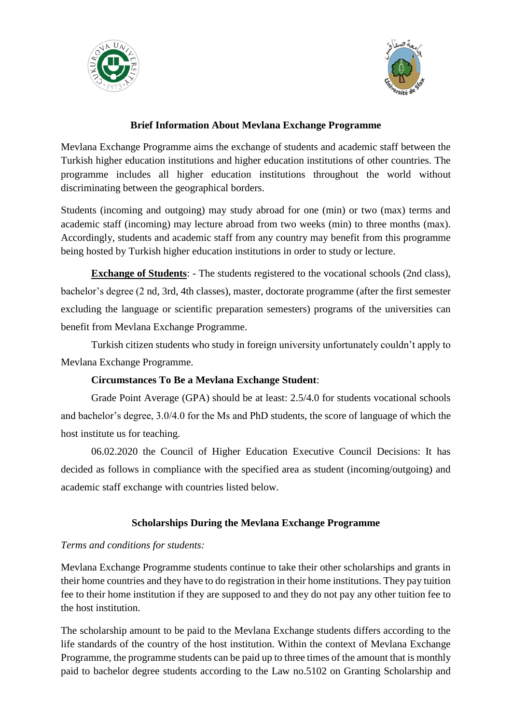



#### **Brief Information About Mevlana Exchange Programme**

Mevlana Exchange Programme aims the exchange of students and academic staff between the Turkish higher education institutions and higher education institutions of other countries. The programme includes all higher education institutions throughout the world without discriminating between the geographical borders.

Students (incoming and outgoing) may study abroad for one (min) or two (max) terms and academic staff (incoming) may lecture abroad from two weeks (min) to three months (max). Accordingly, students and academic staff from any country may benefit from this programme being hosted by Turkish higher education institutions in order to study or lecture.

**Exchange of Students**: - The students registered to the vocational schools (2nd class), bachelor's degree (2 nd, 3rd, 4th classes), master, doctorate programme (after the first semester excluding the language or scientific preparation semesters) programs of the universities can benefit from Mevlana Exchange Programme.

Turkish citizen students who study in foreign university unfortunately couldn't apply to Mevlana Exchange Programme.

### **Circumstances To Be a Mevlana Exchange Student**:

Grade Point Average (GPA) should be at least: 2.5/4.0 for students vocational schools and bachelor's degree, 3.0/4.0 for the Ms and PhD students, the score of language of which the host institute us for teaching.

06.02.2020 the Council of Higher Education Executive Council Decisions: It has decided as follows in compliance with the specified area as student (incoming/outgoing) and academic staff exchange with countries listed below.

### **Scholarships During the Mevlana Exchange Programme**

### *Terms and conditions for students:*

Mevlana Exchange Programme students continue to take their other scholarships and grants in their home countries and they have to do registration in their home institutions. They pay tuition fee to their home institution if they are supposed to and they do not pay any other tuition fee to the host institution.

The scholarship amount to be paid to the Mevlana Exchange students differs according to the life standards of the country of the host institution. Within the context of Mevlana Exchange Programme, the programme students can be paid up to three times of the amount that is monthly paid to bachelor degree students according to the Law no.5102 on Granting Scholarship and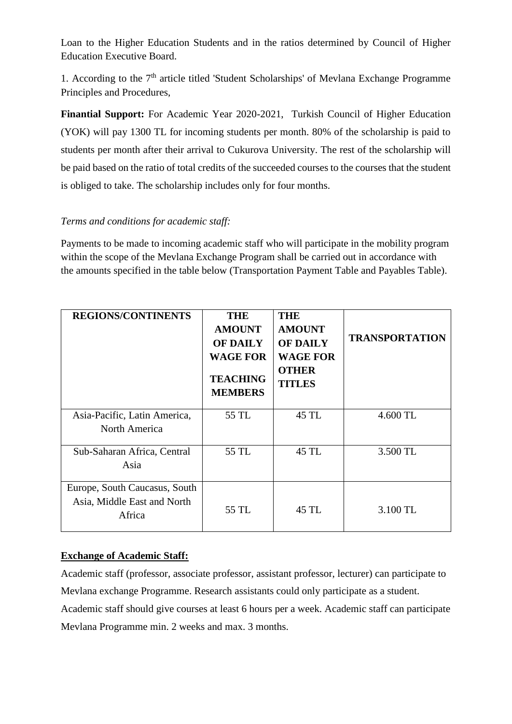Loan to the Higher Education Students and in the ratios determined by Council of Higher Education Executive Board.

1. According to the  $7<sup>th</sup>$  article titled 'Student Scholarships' of Mevlana Exchange Programme Principles and Procedures,

**Finantial Support:** For Academic Year 2020-2021, Turkish Council of Higher Education (YOK) will pay 1300 TL for incoming students per month. 80% of the scholarship is paid to students per month after their arrival to Cukurova University. The rest of the scholarship will be paid based on the ratio of total credits of the succeeded courses to the courses that the student is obliged to take. The scholarship includes only for four months.

### *Terms and conditions for academic staff:*

Payments to be made to incoming academic staff who will participate in the mobility program within the scope of the Mevlana Exchange Program shall be carried out in accordance with the amounts specified in the table below (Transportation Payment Table and Payables Table).

| <b>REGIONS/CONTINENTS</b>                                              | <b>THE</b><br><b>AMOUNT</b><br><b>OF DAILY</b><br><b>WAGE FOR</b><br><b>TEACHING</b><br><b>MEMBERS</b> | <b>THE</b><br><b>AMOUNT</b><br><b>OF DAILY</b><br><b>WAGE FOR</b><br><b>OTHER</b><br><b>TITLES</b> | <b>TRANSPORTATION</b> |
|------------------------------------------------------------------------|--------------------------------------------------------------------------------------------------------|----------------------------------------------------------------------------------------------------|-----------------------|
| Asia-Pacific, Latin America,<br>North America                          | 55 TL                                                                                                  | 45 TL                                                                                              | 4.600 TL              |
| Sub-Saharan Africa, Central<br>Asia                                    | 55 TL                                                                                                  | 45 TL                                                                                              | 3.500 TL              |
| Europe, South Caucasus, South<br>Asia, Middle East and North<br>Africa | 55 TL                                                                                                  | 45 TL                                                                                              | 3.100 TL              |

### **Exchange of Academic Staff:**

Academic staff (professor, associate professor, assistant professor, lecturer) can participate to Mevlana exchange Programme. Research assistants could only participate as a student. Academic staff should give courses at least 6 hours per a week. Academic staff can participate Mevlana Programme min. 2 weeks and max. 3 months.